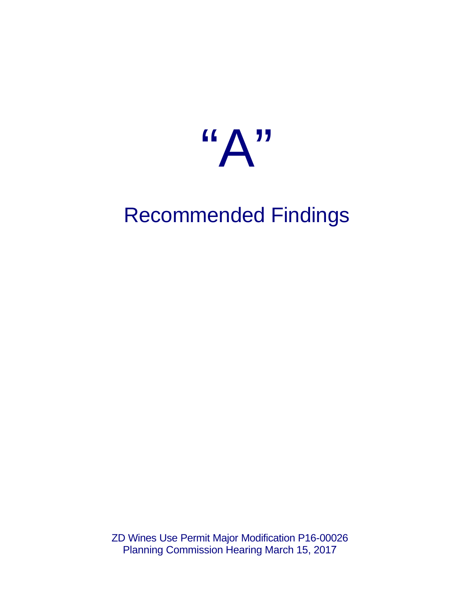

# Recommended Findings

ZD Wines Use Permit Major Modification P16-00026 Planning Commission Hearing March 15, 2017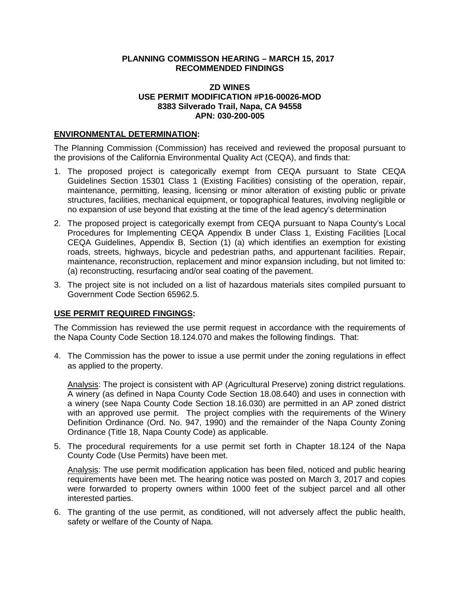### **PLANNING COMMISSON HEARING – MARCH 15, 2017 RECOMMENDED FINDINGS**

### **ZD WINES USE PERMIT MODIFICATION #P16-00026-MOD 8383 Silverado Trail, Napa, CA 94558 APN: 030-200-005**

### **ENVIRONMENTAL DETERMINATION:**

The Planning Commission (Commission) has received and reviewed the proposal pursuant to the provisions of the California Environmental Quality Act (CEQA), and finds that:

- 1. The proposed project is categorically exempt from CEQA pursuant to State CEQA Guidelines Section 15301 Class 1 (Existing Facilities) consisting of the operation, repair, maintenance, permitting, leasing, licensing or minor alteration of existing public or private structures, facilities, mechanical equipment, or topographical features, involving negligible or no expansion of use beyond that existing at the time of the lead agency's determination
- 2. The proposed project is categorically exempt from CEQA pursuant to Napa County's Local Procedures for Implementing CEQA Appendix B under Class 1, Existing Facilities [Local CEQA Guidelines, Appendix B, Section (1) (a) which identifies an exemption for existing roads, streets, highways, bicycle and pedestrian paths, and appurtenant facilities. Repair, maintenance, reconstruction, replacement and minor expansion including, but not limited to: (a) reconstructing, resurfacing and/or seal coating of the pavement.
- 3. The project site is not included on a list of hazardous materials sites compiled pursuant to Government Code Section 65962.5.

## **USE PERMIT REQUIRED FINGINGS:**

The Commission has reviewed the use permit request in accordance with the requirements of the Napa County Code Section 18.124.070 and makes the following findings. That:

4. The Commission has the power to issue a use permit under the zoning regulations in effect as applied to the property.

Analysis: The project is consistent with AP (Agricultural Preserve) zoning district regulations. A winery (as defined in Napa County Code Section 18.08.640) and uses in connection with a winery (see Napa County Code Section 18.16.030) are permitted in an AP zoned district with an approved use permit. The project complies with the requirements of the Winery Definition Ordinance (Ord. No. 947, 1990) and the remainder of the Napa County Zoning Ordinance (Title 18, Napa County Code) as applicable.

5. The procedural requirements for a use permit set forth in Chapter 18.124 of the Napa County Code (Use Permits) have been met.

Analysis: The use permit modification application has been filed, noticed and public hearing requirements have been met. The hearing notice was posted on March 3, 2017 and copies were forwarded to property owners within 1000 feet of the subject parcel and all other interested parties.

6. The granting of the use permit, as conditioned, will not adversely affect the public health, safety or welfare of the County of Napa.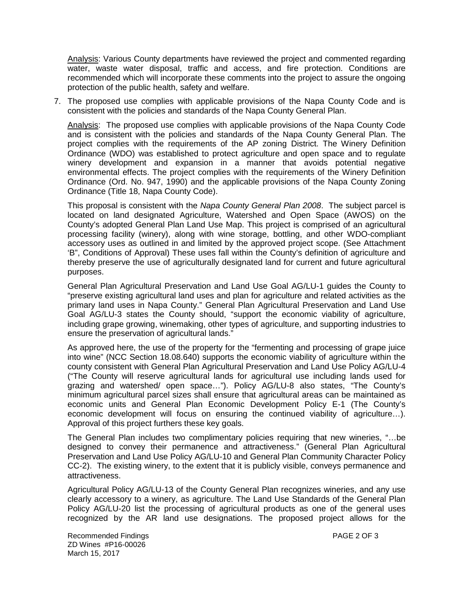Analysis: Various County departments have reviewed the project and commented regarding water, waste water disposal, traffic and access, and fire protection. Conditions are recommended which will incorporate these comments into the project to assure the ongoing protection of the public health, safety and welfare.

7. The proposed use complies with applicable provisions of the Napa County Code and is consistent with the policies and standards of the Napa County General Plan.

Analysis: The proposed use complies with applicable provisions of the Napa County Code and is consistent with the policies and standards of the Napa County General Plan. The project complies with the requirements of the AP zoning District. The Winery Definition Ordinance (WDO) was established to protect agriculture and open space and to regulate winery development and expansion in a manner that avoids potential negative environmental effects. The project complies with the requirements of the Winery Definition Ordinance (Ord. No. 947, 1990) and the applicable provisions of the Napa County Zoning Ordinance (Title 18, Napa County Code).

This proposal is consistent with the *Napa County General Plan 2008*. The subject parcel is located on land designated Agriculture, Watershed and Open Space (AWOS) on the County's adopted General Plan Land Use Map. This project is comprised of an agricultural processing facility (winery), along with wine storage, bottling, and other WDO-compliant accessory uses as outlined in and limited by the approved project scope. (See Attachment 'B", Conditions of Approval) These uses fall within the County's definition of agriculture and thereby preserve the use of agriculturally designated land for current and future agricultural purposes.

General Plan Agricultural Preservation and Land Use Goal AG/LU-1 guides the County to "preserve existing agricultural land uses and plan for agriculture and related activities as the primary land uses in Napa County." General Plan Agricultural Preservation and Land Use Goal AG/LU-3 states the County should, "support the economic viability of agriculture, including grape growing, winemaking, other types of agriculture, and supporting industries to ensure the preservation of agricultural lands."

As approved here, the use of the property for the "fermenting and processing of grape juice into wine" (NCC Section 18.08.640) supports the economic viability of agriculture within the county consistent with General Plan Agricultural Preservation and Land Use Policy AG/LU-4 ("The County will reserve agricultural lands for agricultural use including lands used for grazing and watershed/ open space…"). Policy AG/LU-8 also states, "The County's minimum agricultural parcel sizes shall ensure that agricultural areas can be maintained as economic units and General Plan Economic Development Policy E-1 (The County's economic development will focus on ensuring the continued viability of agriculture…). Approval of this project furthers these key goals.

The General Plan includes two complimentary policies requiring that new wineries, "…be designed to convey their permanence and attractiveness." (General Plan Agricultural Preservation and Land Use Policy AG/LU-10 and General Plan Community Character Policy CC-2). The existing winery, to the extent that it is publicly visible, conveys permanence and attractiveness.

Agricultural Policy AG/LU-13 of the County General Plan recognizes wineries, and any use clearly accessory to a winery, as agriculture. The Land Use Standards of the General Plan Policy AG/LU-20 list the processing of agricultural products as one of the general uses recognized by the AR land use designations. The proposed project allows for the